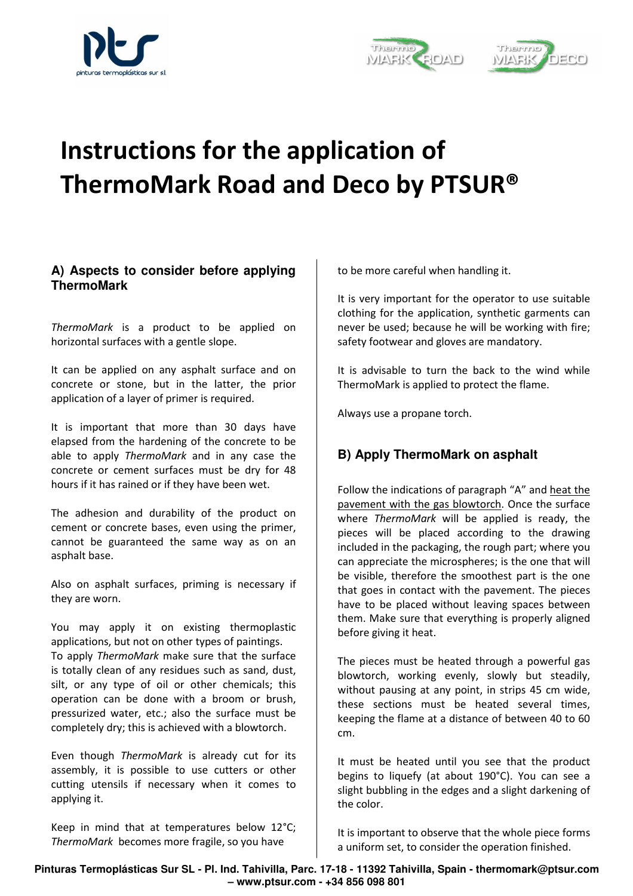





## **Instructions for the application of ThermoMark Road and Deco by PTSUR®**

## **A) Aspects to consider before applying ThermoMark**

*ThermoMark* is a product to be applied on horizontal surfaces with a gentle slope.

It can be applied on any asphalt surface and on concrete or stone, but in the latter, the prior application of a layer of primer is required.

It is important that more than 30 days have elapsed from the hardening of the concrete to be able to apply *ThermoMark* and in any case the concrete or cement surfaces must be dry for 48 hours if it has rained or if they have been wet.

The adhesion and durability of the product on cement or concrete bases, even using the primer, cannot be guaranteed the same way as on an asphalt base.

Also on asphalt surfaces, priming is necessary if they are worn.

You may apply it on existing thermoplastic applications, but not on other types of paintings. To apply *ThermoMark* make sure that the surface is totally clean of any residues such as sand, dust, silt, or any type of oil or other chemicals; this operation can be done with a broom or brush, pressurized water, etc.; also the surface must be completely dry; this is achieved with a blowtorch.

Even though *ThermoMark* is already cut for its assembly, it is possible to use cutters or other cutting utensils if necessary when it comes to applying it.

Keep in mind that at temperatures below 12°C; *ThermoMark* becomes more fragile, so you have

to be more careful when handling it.

It is very important for the operator to use suitable clothing for the application, synthetic garments can never be used; because he will be working with fire; safety footwear and gloves are mandatory.

It is advisable to turn the back to the wind while ThermoMark is applied to protect the flame.

Always use a propane torch.

## **B) Apply ThermoMark on asphalt**

Follow the indications of paragraph "A" and heat the pavement with the gas blowtorch. Once the surface where *ThermoMark* will be applied is ready, the pieces will be placed according to the drawing included in the packaging, the rough part; where you can appreciate the microspheres; is the one that will be visible, therefore the smoothest part is the one that goes in contact with the pavement. The pieces have to be placed without leaving spaces between them. Make sure that everything is properly aligned before giving it heat.

The pieces must be heated through a powerful gas blowtorch, working evenly, slowly but steadily, without pausing at any point, in strips 45 cm wide, these sections must be heated several times, keeping the flame at a distance of between 40 to 60 cm.

It must be heated until you see that the product begins to liquefy (at about 190°C). You can see a slight bubbling in the edges and a slight darkening of the color.

It is important to observe that the whole piece forms a uniform set, to consider the operation finished.

**Pinturas Termoplásticas Sur SL - Pl. Ind. Tahivilla, Parc. 17-18 - 11392 Tahivilla, Spain - thermomark@ptsur.com – www.ptsur.com - +34 856 098 801**